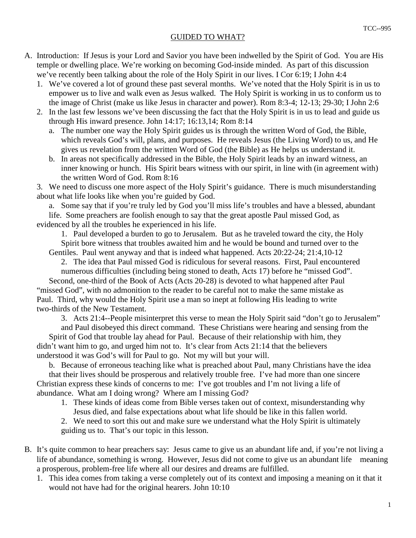## GUIDED TO WHAT?

- A. Introduction: If Jesus is your Lord and Savior you have been indwelled by the Spirit of God. You are His temple or dwelling place. We're working on becoming God-inside minded. As part of this discussion we've recently been talking about the role of the Holy Spirit in our lives. I Cor 6:19; I John 4:4
	- 1. We've covered a lot of ground these past several months. We've noted that the Holy Spirit is in us to empower us to live and walk even as Jesus walked. The Holy Spirit is working in us to conform us to the image of Christ (make us like Jesus in character and power). Rom 8:3-4; 12-13; 29-30; I John 2:6
	- 2. In the last few lessons we've been discussing the fact that the Holy Spirit is in us to lead and guide us through His inward presence. John 14:17; 16:13,14; Rom 8:14
		- a. The number one way the Holy Spirit guides us is through the written Word of God, the Bible, which reveals God's will, plans, and purposes. He reveals Jesus (the Living Word) to us, and He gives us revelation from the written Word of God (the Bible) as He helps us understand it.
		- b. In areas not specifically addressed in the Bible, the Holy Spirit leads by an inward witness, an inner knowing or hunch. His Spirit bears witness with our spirit, in line with (in agreement with) the written Word of God. Rom 8:16

 3. We need to discuss one more aspect of the Holy Spirit's guidance. There is much misunderstanding about what life looks like when you're guided by God.

 a. Some say that if you're truly led by God you'll miss life's troubles and have a blessed, abundant life. Some preachers are foolish enough to say that the great apostle Paul missed God, as

evidenced by all the troubles he experienced in his life.

 1. Paul developed a burden to go to Jerusalem. But as he traveled toward the city, the Holy Spirit bore witness that troubles awaited him and he would be bound and turned over to the Gentiles. Paul went anyway and that is indeed what happened. Acts 20:22-24; 21:4,10-12

 2. The idea that Paul missed God is ridiculous for several reasons. First, Paul encountered numerous difficulties (including being stoned to death, Acts 17) before he "missed God".

 Second, one-third of the Book of Acts (Acts 20-28) is devoted to what happened after Paul "missed God", with no admonition to the reader to be careful not to make the same mistake as Paul. Third, why would the Holy Spirit use a man so inept at following His leading to write two-thirds of the New Testament.

3. Acts 21:4--People misinterpret this verse to mean the Holy Spirit said "don't go to Jerusalem"

 and Paul disobeyed this direct command. These Christians were hearing and sensing from the Spirit of God that trouble lay ahead for Paul. Because of their relationship with him, they didn't want him to go, and urged him not to. It's clear from Acts 21:14 that the believers understood it was God's will for Paul to go. Not my will but your will.

 b. Because of erroneous teaching like what is preached about Paul, many Christians have the idea that their lives should be prosperous and relatively trouble free. I've had more than one sincere Christian express these kinds of concerns to me: I've got troubles and I'm not living a life of abundance. What am I doing wrong? Where am I missing God?

 1. These kinds of ideas come from Bible verses taken out of context, misunderstanding why Jesus died, and false expectations about what life should be like in this fallen world.

 2. We need to sort this out and make sure we understand what the Holy Spirit is ultimately guiding us to. That's our topic in this lesson.

- B. It's quite common to hear preachers say: Jesus came to give us an abundant life and, if you're not living a life of abundance, something is wrong. However, Jesus did not come to give us an abundant life—meaning a prosperous, problem-free life where all our desires and dreams are fulfilled.
	- 1. This idea comes from taking a verse completely out of its context and imposing a meaning on it that it would not have had for the original hearers. John 10:10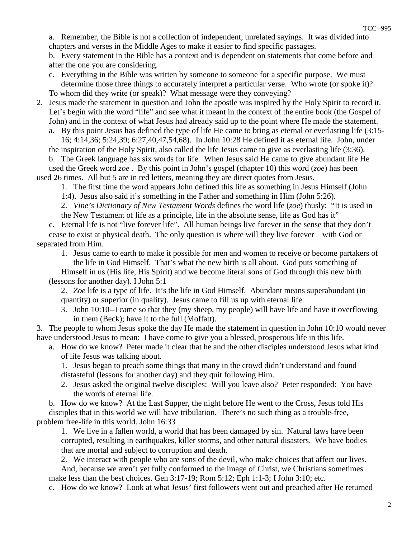a. Remember, the Bible is not a collection of independent, unrelated sayings. It was divided into chapters and verses in the Middle Ages to make it easier to find specific passages.

 b. Every statement in the Bible has a context and is dependent on statements that come before and after the one you are considering.

- c. Everything in the Bible was written by someone to someone for a specific purpose. We must determine those three things to accurately interpret a particular verse. Who wrote (or spoke it)? To whom did they write (or speak)? What message were they conveying?
- 2. Jesus made the statement in question and John the apostle was inspired by the Holy Spirit to record it. Let's begin with the word "life" and see what it meant in the context of the entire book (the Gospel of John) and in the context of what Jesus had already said up to the point where He made the statement.

 a. By this point Jesus has defined the type of life He came to bring as eternal or everlasting life (3:15- 16; 4:14,36; 5:24,39; 6:27,40,47,54,68). In John 10:28 He defined it as eternal life. John, under the inspiration of the Holy Spirit, also called the life Jesus came to give as everlasting life (3:36).

 b. The Greek language has six words for life. When Jesus said He came to give abundant life He used the Greek word *zoe .* By this point in John's gospel (chapter 10) this word (*zoe*) has been used 26 times. All but 5 are in red letters, meaning they are direct quotes from Jesus.

1. The first time the word appears John defined this life as something in Jesus Himself (John

1:4). Jesus also said it's something in the Father and something in Him (John 5:26).

2. *Vine's Dictionary of New Testament Words* defines the word life (*zoe*) thusly: "It is used in

the New Testament of life as a principle, life in the absolute sense, life as God has it"

 c. Eternal life is not "live forever life". All human beings live forever in the sense that they don't cease to exist at physical death. The only question is where will they live forever—with God or separated from Him.

 1. Jesus came to earth to make it possible for men and women to receive or become partakers of the life in God Himself. That's what the new birth is all about. God puts something of Himself in us (His life, His Spirit) and we become literal sons of God through this new birth

(lessons for another day). I John 5:1

 2. *Zoe* life is a type of life. It's the life in God Himself. Abundant means superabundant (in quantity) or superior (in quality). Jesus came to fill us up with eternal life.

 3. John 10:10--I came so that they (my sheep, my people) will have life and have it overflowing in them (Beck); have it to the full (Moffatt).

 3. The people to whom Jesus spoke the day He made the statement in question in John 10:10 would never have understood Jesus to mean: I have come to give you a blessed, prosperous life in this life.

 a. How do we know? Peter made it clear that he and the other disciples understood Jesus what kind of life Jesus was talking about.

 1. Jesus began to preach some things that many in the crowd didn't understand and found distasteful (lessons for another day) and they quit following Him.

 2. Jesus asked the original twelve disciples: Will you leave also? Peter responded: You have the words of eternal life.

 b. How do we know? At the Last Supper, the night before He went to the Cross, Jesus told His disciples that in this world we will have tribulation. There's no such thing as a trouble-free, problem free-life in this world. John 16:33

 1. We live in a fallen world, a world that has been damaged by sin. Natural laws have been corrupted, resulting in earthquakes, killer storms, and other natural disasters. We have bodies that are mortal and subject to corruption and death.

2. We interact with people who are sons of the devil, who make choices that affect our lives.

 And, because we aren't yet fully conformed to the image of Christ, we Christians sometimes make less than the best choices. Gen 3:17-19; Rom 5:12; Eph 1:1-3; I John 3:10; etc.

c. How do we know? Look at what Jesus' first followers went out and preached after He returned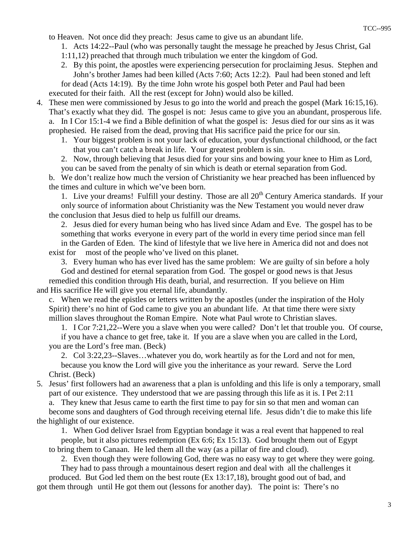to Heaven. Not once did they preach: Jesus came to give us an abundant life.

- 1. Acts 14:22--Paul (who was personally taught the message he preached by Jesus Christ, Gal
- 1:11,12) preached that through much tribulation we enter the kingdom of God.
- 2. By this point, the apostles were experiencing persecution for proclaiming Jesus. Stephen and John's brother James had been killed (Acts 7:60; Acts 12:2). Paul had been stoned and left for dead (Acts 14:19). By the time John wrote his gospel both Peter and Paul had been executed for their faith. All the rest (except for John) would also be killed.
- 4. These men were commissioned by Jesus to go into the world and preach the gospel (Mark 16:15,16). That's exactly what they did. The gospel is not: Jesus came to give you an abundant, prosperous life. a. In I Cor 15:1-4 we find a Bible definition of what the gospel is: Jesus died for our sins as it was prophesied. He raised from the dead, proving that His sacrifice paid the price for our sin.
	- 1. Your biggest problem is not your lack of education, your dysfunctional childhood, or the fact that you can't catch a break in life. Your greatest problem is sin.
	- 2. Now, through believing that Jesus died for your sins and bowing your knee to Him as Lord, you can be saved from the penalty of sin which is death or eternal separation from God.

 b. We don't realize how much the version of Christianity we hear preached has been influenced by the times and culture in which we've been born.

1. Live your dreams! Fulfill your destiny. Those are all  $20<sup>th</sup>$  Century America standards. If your only source of information about Christianity was the New Testament you would never draw the conclusion that Jesus died to help us fulfill our dreams.

 2. Jesus died for every human being who has lived since Adam and Eve. The gospel has to be something that works everyone in every part of the world in every time period since man fell in the Garden of Eden. The kind of lifestyle that we live here in America did not and does not exist for most of the people who've lived on this planet.

3. Every human who has ever lived has the same problem: We are guilty of sin before a holy

 God and destined for eternal separation from God. The gospel or good news is that Jesus remedied this condition through His death, burial, and resurrection. If you believe on Him and His sacrifice He will give you eternal life, abundantly.

 c. When we read the epistles or letters written by the apostles (under the inspiration of the Holy Spirit) there's no hint of God came to give you an abundant life. At that time there were sixty million slaves throughout the Roman Empire. Note what Paul wrote to Christian slaves.

 1. I Cor 7:21,22--Were you a slave when you were called? Don't let that trouble you. Of course, if you have a chance to get free, take it. If you are a slave when you are called in the Lord,

 you are the Lord's free man. (Beck) 2. Col 3:22,23--Slaves…whatever you do, work heartily as for the Lord and not for men, because you know the Lord will give you the inheritance as your reward. Serve the Lord Christ. (Beck)

 5. Jesus' first followers had an awareness that a plan is unfolding and this life is only a temporary, small part of our existence. They understood that we are passing through this life as it is. I Pet 2:11 a. They knew that Jesus came to earth the first time to pay for sin so that men and woman can

 become sons and daughters of God through receiving eternal life. Jesus didn't die to make this life the highlight of our existence.

 1. When God deliver Israel from Egyptian bondage it was a real event that happened to real people, but it also pictures redemption (Ex 6:6; Ex 15:13). God brought them out of Egypt to bring them to Canaan. He led them all the way (as a pillar of fire and cloud).

2. Even though they were following God, there was no easy way to get where they were going.

 They had to pass through a mountainous desert region and deal with all the challenges it produced. But God led them on the best route (Ex 13:17,18), brought good out of bad, and got them through until He got them out (lessons for another day). The point is: There's no